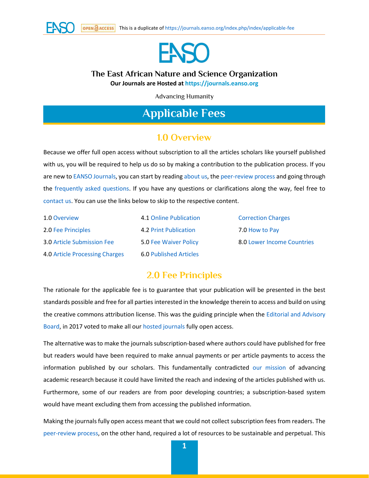



## **The East African Nature and Science Organization**

**Our Journals are Hosted at [https://journals.eanso.org](https://journals.eanso.org/)**

Advancing Humanity

# **Applicable Fees**

## **1.0 Overview**

Because we offer full open access without subscription to all the articles scholars like yourself published with us, you will be required to help us do so by making a contribution to the publication process. If you are new t[o EANSO Journals,](https://journals.eanso.org/) you can start by readin[g about us,](https://journals.eanso.org/index.php/index/about-journals) th[e peer-review process](https://journals.eanso.org/index.php/index/peer-review-process) and going through the [frequently asked questions.](https://journals.eanso.org/index.php/index/faq) If you have any questions or clarifications along the way, feel free to [contact us.](https://journals.eanso.org/index.php/index/contact-us) You can use the links below to skip to the respective content.

| 1.0 Overview                      | 4.1 Online Publication        |
|-----------------------------------|-------------------------------|
| 2.0 Fee Principles                | 4.2 Print Publication         |
| <b>3.0 Article Submission Fee</b> | 5.0 Fee Waiver Policy         |
| 4.0 Article Processing Charges    | <b>6.0 Published Articles</b> |

[Correction Charges](https://journals.eanso.org/index.php/index/applicable-fee#h150sk6r0xwzu1ctj7lnimgcy71cinlpr) 7.0 [How to Pay](https://journals.eanso.org/index.php/index/applicable-fee#h157sk6r0y5ce15uce2f12q3ydx1q1kpzl) 8.0 [Lower Income Countries](https://journals.eanso.org/index.php/index/applicable-fee#lic)

## **2.0 Fee Principles**

The rationale for the applicable fee is to guarantee that your publication will be presented in the best standards possible and free for all parties interested in the knowledge therein to access and build on using the creative commons attribution license. This was the guiding principle when the [Editorial and Advisory](https://journals.eanso.org/index.php/index/editorial-board)  [Board,](https://journals.eanso.org/index.php/index/editorial-board) in 2017 voted to make all our [hosted journals](https://journals.eanso.org/) fully open access.

The alternative was to make the journals subscription-based where authors could have published for free but readers would have been required to make annual payments or per article payments to access the information published by our scholars. This fundamentally contradicted [our mission](https://journals.eanso.org/index.php/index/about-journals) of advancing academic research because it could have limited the reach and indexing of the articles published with us. Furthermore, some of our readers are from poor developing countries; a subscription-based system would have meant excluding them from accessing the published information.

Making the journals fully open access meant that we could not collect subscription fees from readers. The [peer-review process,](https://journals.eanso.org/index.php/index/peer-review-process) on the other hand, required a lot of resources to be sustainable and perpetual. This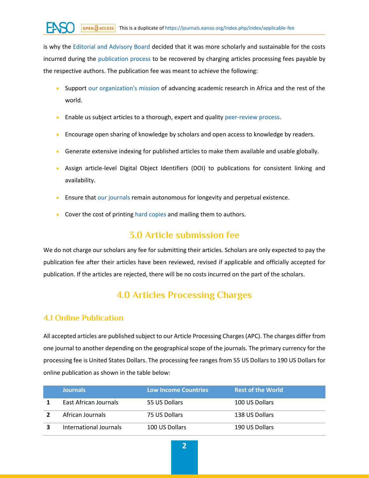is why the [Editorial and Advisory Board](https://journals.eanso.org/index.php/index/editorial-board) decided that it was more scholarly and sustainable for the costs incurred during the [publication process](https://journals.eanso.org/index.php/index/peer-review-process) to be recovered by charging articles processing fees payable by the respective authors. The publication fee was meant to achieve the following:

- Support [our organization's mission](https://journals.eanso.org/index.php/index/about-journals) of advancing academic research in Africa and the rest of the world.
- Enable us subject articles to a thorough, expert and quality [peer-review process.](https://journals.eanso.org/index.php/index/peer-review-process)
- Encourage open sharing of knowledge by scholars and open access to knowledge by readers.
- Generate extensive indexing for published articles to make them available and usable globally.
- Assign article-level Digital Object Identifiers (DOI) to publications for consistent linking and availability.
- Ensure that [our journals](https://journals.eanso.org/) remain autonomous for longevity and perpetual existence.
- Cover the cost of printing [hard copies](https://journals.eanso.org/index.php/index/admin/settings#h124sk6r0xercu343kamvhw311yrt4ss) and mailing them to authors.

## **3.0 Article submission fee**

We do not charge our scholars any fee for submitting their articles. Scholars are only expected to pay the publication fee after their articles have been reviewed, revised if applicable and officially accepted for publication. If the articles are rejected, there will be no costs incurred on the part of the scholars.

## **4.0 Articles Processing Charges**

#### **4.1 Online Publication**

All accepted articles are published subject to our Article Processing Charges(APC). The charges differ from one journal to another depending on the geographical scope of the journals. The primary currency for the processing fee is United States Dollars. The processing fee ranges from 55 US Dollars to 190 US Dollars for online publication as shown in the table below:

| <b>Journals</b>        | <b>Low Income Countries</b> | <b>Rest of the World</b> |
|------------------------|-----------------------------|--------------------------|
| East African Journals  | 55 US Dollars               | 100 US Dollars           |
| African Journals       | 75 US Dollars               | 138 US Dollars           |
| International Journals | 100 US Dollars              | 190 US Dollars           |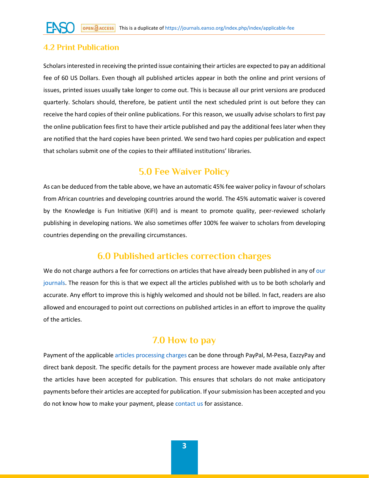#### **4.2 Print Publication**

Scholars interested in receiving the printed issue containing their articles are expected to pay an additional fee of 60 US Dollars. Even though all published articles appear in both the online and print versions of issues, printed issues usually take longer to come out. This is because all our print versions are produced quarterly. Scholars should, therefore, be patient until the next scheduled print is out before they can receive the hard copies of their online publications. For this reason, we usually advise scholars to first pay the online publication fees first to have their article published and pay the additional fees later when they are notified that the hard copies have been printed. We send two hard copies per publication and expect that scholars submit one of the copies to their affiliated institutions' libraries.

## **5.0 Fee Waiver Policy**

As can be deduced from the table above, we have an automatic 45% fee waiver policy in favour of scholars from African countries and developing countries around the world. The 45% automatic waiver is covered by the Knowledge is Fun Initiative (KiFI) and is meant to promote quality, peer-reviewed scholarly publishing in developing nations. We also sometimes offer 100% fee waiver to scholars from developing countries depending on the prevailing circumstances.

#### **6.0 Published articles correction charges**

We do not charge authors a fee for corrections on articles that have already been published in any of our [journals.](https://journals.eanso.org/) The reason for this is that we expect all the articles published with us to be both scholarly and accurate. Any effort to improve this is highly welcomed and should not be billed. In fact, readers are also allowed and encouraged to point out corrections on published articles in an effort to improve the quality of the articles.

## **7.0 How to pay**

Payment of the applicable [articles processing charges](https://journals.eanso.org/index.php/index/applicable-fee#h83sk6r0w1jc795nyssjzdfz1yzxmtj) can be done through PayPal, M-Pesa, EazzyPay and direct bank deposit. The specific details for the payment process are however made available only after the articles have been accepted for publication. This ensures that scholars do not make anticipatory payments before their articles are accepted for publication. If your submission has been accepted and you do not know how to make your payment, please [contact us](https://journals.eanso.org/index.php/index/contact-us) for assistance.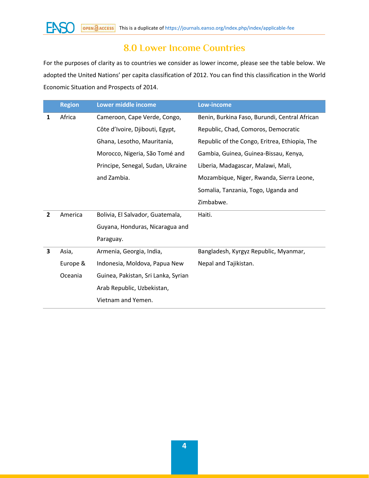

## **8.0 Lower Income Countries**

For the purposes of clarity as to countries we consider as lower income, please see the table below. We adopted the United Nations' per capita classification of 2012. You can find this classification in the World Economic Situation and Prospects of 2014.

|                | <b>Region</b> | Lower middle income                 | <b>Low-income</b>                             |
|----------------|---------------|-------------------------------------|-----------------------------------------------|
| 1              | Africa        | Cameroon, Cape Verde, Congo,        | Benin, Burkina Faso, Burundi, Central African |
|                |               | Côte d'Ivoire, Djibouti, Egypt,     | Republic, Chad, Comoros, Democratic           |
|                |               | Ghana, Lesotho, Mauritania,         | Republic of the Congo, Eritrea, Ethiopia, The |
|                |               | Morocco, Nigeria, São Tomé and      | Gambia, Guinea, Guinea-Bissau, Kenya,         |
|                |               | Principe, Senegal, Sudan, Ukraine   | Liberia, Madagascar, Malawi, Mali,            |
|                |               | and Zambia.                         | Mozambique, Niger, Rwanda, Sierra Leone,      |
|                |               |                                     | Somalia, Tanzania, Togo, Uganda and           |
|                |               |                                     | Zimbabwe.                                     |
| $\overline{2}$ | America       | Bolivia, El Salvador, Guatemala,    | Haiti.                                        |
|                |               | Guyana, Honduras, Nicaragua and     |                                               |
|                |               | Paraguay.                           |                                               |
| 3              | Asia,         | Armenia, Georgia, India,            | Bangladesh, Kyrgyz Republic, Myanmar,         |
|                | Europe &      | Indonesia, Moldova, Papua New       | Nepal and Tajikistan.                         |
|                | Oceania       | Guinea, Pakistan, Sri Lanka, Syrian |                                               |
|                |               | Arab Republic, Uzbekistan,          |                                               |
|                |               | Vietnam and Yemen.                  |                                               |